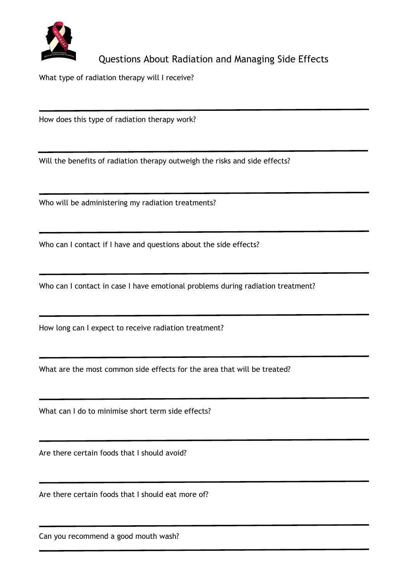

## Questions About Radiation and Managing Side Effects

What type of radiation therapy will I receive?

How does this type of radiation therapy work?

Will the benefits of radiation therapy outweigh the risks and side effects?

Who will be administering my radiation treatments?

Who can I contact if I have and questions about the side effects?

Who can I contact in case I have emotional problems during radiation treatment?

How long can I expect to receive radiation treatment?

What are the most common side effects for the area that will be treated?

What can I do to minimise short term side effects?

Are there certain foods that I should avoid?

Are there certain foods that I should eat more of?

Can you recommend a good mouth wash?